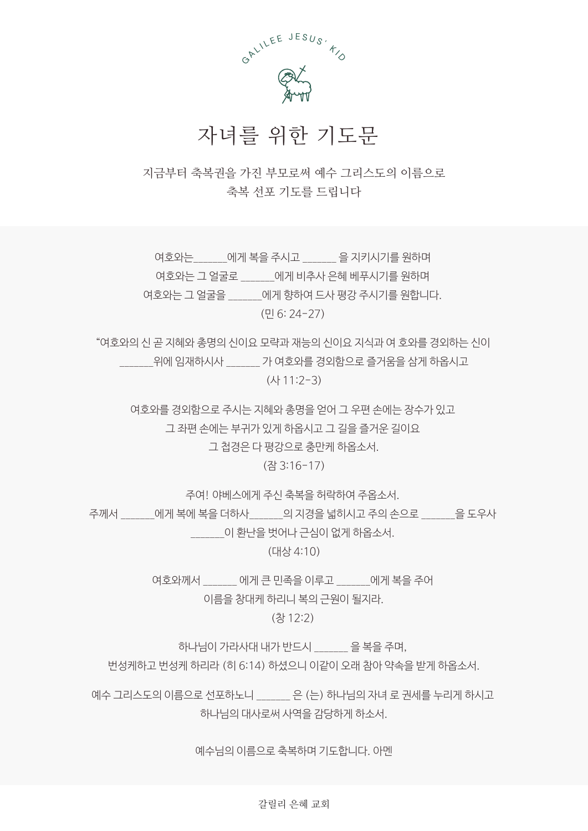

## 자녀를 위한 기도문

지금부터 축복권을 가진 부모로써 예수 그리스도의 이름으로 축복 선포 기도를 드립니다

여호와는 \_\_\_\_\_\_에게 복을 주시고 \_\_\_\_\_\_\_ 을 지키시기를 원하며 여호와는 그 얼굴로 먹어게 비추사 은혜 베푸시기를 원하며 여호와는 그 얼굴을 \_\_\_\_\_\_\_에게 향하여 드사 평강 주시기를 원합니다. (민 6: 24-27)

"여호와의 신 곧 지혜와 총명의 신이요 모략과 재능의 신이요 지식과 여 호와를 경외하는 신이 \_\_\_\_\_\_\_위에 임재하시사 \_\_\_\_\_\_\_ 가 여호와를 경외함으로 즐거움을 삼게 하옵시고 (사 11:2-3)

여호와를 경외함으로 주시는 지혜와 총명을 얻어 그 우편 손에는 장수가 있고 그 좌편 손에는 부귀가 있게 하옵시고 그 길을 즐거운 길이요

그 첩경은 다 평강으로 충만케 하옵소서.

(잠 3:16-17)

주여! 야베스에게 주신 축복을 허락하여 주옵소서.

주께서 \_\_\_\_\_에게 복에 복을 더하사 \_\_\_\_\_\_의 지경을 넓히시고 주의 손으로 \_\_\_\_\_\_을 도우사

\_\_\_\_\_\_\_이 환난을 벗어나 근심이 없게 하옵소서.

(대상 4:10)

여호와께서 \_\_\_\_\_\_\_ 에게 큰 민족을 이루고 \_\_\_\_\_\_\_에게 복을 주어 이름을 창대케 하리니 복의 근원이 될지라.

(창 12:2)

하나님이 가라사대 내가 반드시 \_\_\_\_\_\_\_ 을 복을 주며,

번성케하고 번성케 하리라 (히 6:14) 하셨으니 이같이 오래 참아 약속을 받게 하옵소서.

예수 그리스도의 이름으로 선포하노니 \_\_\_\_\_\_\_\_\_ 은 (는) 하나님의 자녀 로 권세를 누리게 하시고 하나님의 대사로써 사역을 감당하게 하소서.

예수님의 이름으로 축복하며 기도합니다. 아멘